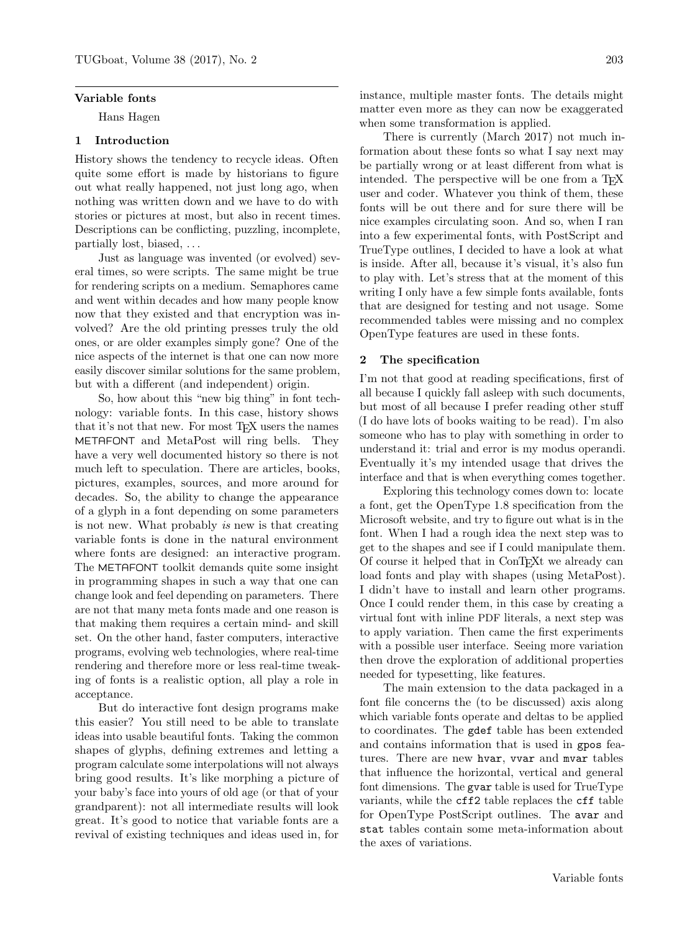#### Variable fonts

Hans Hagen

# 1 Introduction

History shows the tendency to recycle ideas. Often quite some effort is made by historians to figure out what really happened, not just long ago, when nothing was written down and we have to do with stories or pictures at most, but also in recent times. Descriptions can be conflicting, puzzling, incomplete, partially lost, biased, . . .

Just as language was invented (or evolved) several times, so were scripts. The same might be true for rendering scripts on a medium. Semaphores came and went within decades and how many people know now that they existed and that encryption was involved? Are the old printing presses truly the old ones, or are older examples simply gone? One of the nice aspects of the internet is that one can now more easily discover similar solutions for the same problem, but with a different (and independent) origin.

So, how about this "new big thing" in font technology: variable fonts. In this case, history shows that it's not that new. For most TEX users the names METAFONT and MetaPost will ring bells. They have a very well documented history so there is not much left to speculation. There are articles, books, pictures, examples, sources, and more around for decades. So, the ability to change the appearance of a glyph in a font depending on some parameters is not new. What probably is new is that creating variable fonts is done in the natural environment where fonts are designed: an interactive program. The METAFONT toolkit demands quite some insight in programming shapes in such a way that one can change look and feel depending on parameters. There are not that many meta fonts made and one reason is that making them requires a certain mind- and skill set. On the other hand, faster computers, interactive programs, evolving web technologies, where real-time rendering and therefore more or less real-time tweaking of fonts is a realistic option, all play a role in acceptance.

But do interactive font design programs make this easier? You still need to be able to translate ideas into usable beautiful fonts. Taking the common shapes of glyphs, defining extremes and letting a program calculate some interpolations will not always bring good results. It's like morphing a picture of your baby's face into yours of old age (or that of your grandparent): not all intermediate results will look great. It's good to notice that variable fonts are a revival of existing techniques and ideas used in, for

instance, multiple master fonts. The details might matter even more as they can now be exaggerated when some transformation is applied.

There is currently (March 2017) not much information about these fonts so what I say next may be partially wrong or at least different from what is intended. The perspective will be one from a T<sub>E</sub>X user and coder. Whatever you think of them, these fonts will be out there and for sure there will be nice examples circulating soon. And so, when I ran into a few experimental fonts, with PostScript and TrueType outlines, I decided to have a look at what is inside. After all, because it's visual, it's also fun to play with. Let's stress that at the moment of this writing I only have a few simple fonts available, fonts that are designed for testing and not usage. Some recommended tables were missing and no complex OpenType features are used in these fonts.

### 2 The specification

I'm not that good at reading specifications, first of all because I quickly fall asleep with such documents, but most of all because I prefer reading other stuff (I do have lots of books waiting to be read). I'm also someone who has to play with something in order to understand it: trial and error is my modus operandi. Eventually it's my intended usage that drives the interface and that is when everything comes together.

Exploring this technology comes down to: locate a font, get the OpenType 1.8 specification from the Microsoft website, and try to figure out what is in the font. When I had a rough idea the next step was to get to the shapes and see if I could manipulate them. Of course it helped that in ConTEXt we already can load fonts and play with shapes (using MetaPost). I didn't have to install and learn other programs. Once I could render them, in this case by creating a virtual font with inline PDF literals, a next step was to apply variation. Then came the first experiments with a possible user interface. Seeing more variation then drove the exploration of additional properties needed for typesetting, like features.

The main extension to the data packaged in a font file concerns the (to be discussed) axis along which variable fonts operate and deltas to be applied to coordinates. The gdef table has been extended and contains information that is used in gpos features. There are new hvar, vvar and mvar tables that influence the horizontal, vertical and general font dimensions. The gvar table is used for TrueType variants, while the cff2 table replaces the cff table for OpenType PostScript outlines. The avar and stat tables contain some meta-information about the axes of variations.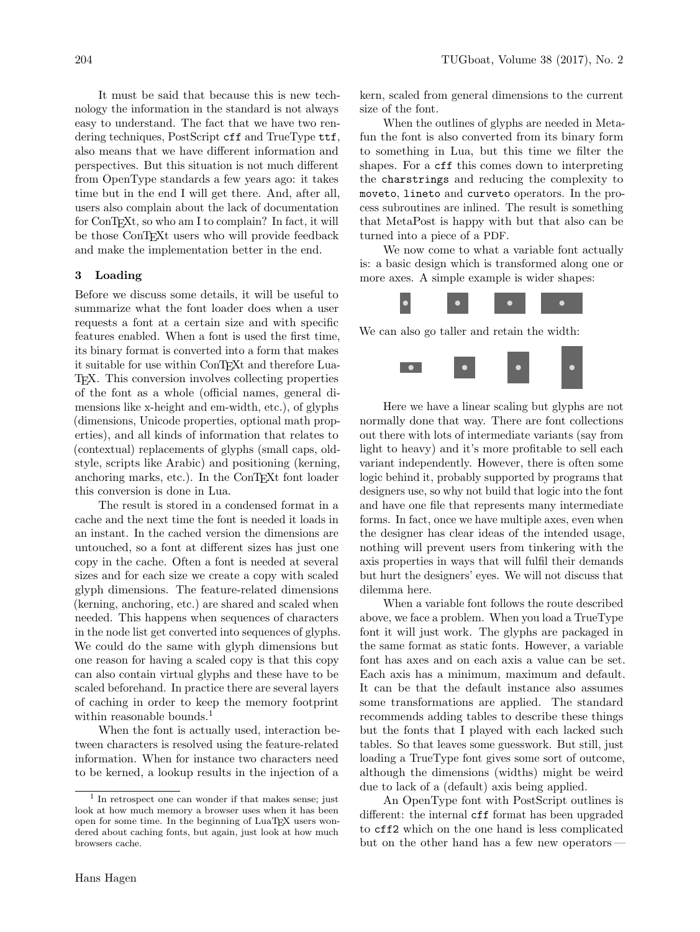It must be said that because this is new technology the information in the standard is not always easy to understand. The fact that we have two rendering techniques, PostScript cff and TrueType ttf, also means that we have different information and perspectives. But this situation is not much different from OpenType standards a few years ago: it takes time but in the end I will get there. And, after all, users also complain about the lack of documentation for ConTEXt, so who am I to complain? In fact, it will be those ConT<sub>EX</sub><sup>t</sup> users who will provide feedback and make the implementation better in the end.

# 3 Loading

Before we discuss some details, it will be useful to summarize what the font loader does when a user requests a font at a certain size and with specific features enabled. When a font is used the first time, its binary format is converted into a form that makes it suitable for use within ConTEXt and therefore Lua-TEX. This conversion involves collecting properties of the font as a whole (official names, general dimensions like x-height and em-width, etc.), of glyphs (dimensions, Unicode properties, optional math properties), and all kinds of information that relates to (contextual) replacements of glyphs (small caps, oldstyle, scripts like Arabic) and positioning (kerning, anchoring marks, etc.). In the ConTEXt font loader this conversion is done in Lua.

The result is stored in a condensed format in a cache and the next time the font is needed it loads in an instant. In the cached version the dimensions are untouched, so a font at different sizes has just one copy in the cache. Often a font is needed at several sizes and for each size we create a copy with scaled glyph dimensions. The feature-related dimensions (kerning, anchoring, etc.) are shared and scaled when needed. This happens when sequences of characters in the node list get converted into sequences of glyphs. We could do the same with glyph dimensions but one reason for having a scaled copy is that this copy can also contain virtual glyphs and these have to be scaled beforehand. In practice there are several layers of caching in order to keep the memory footprint within reasonable bounds.<sup>1</sup>

When the font is actually used, interaction between characters is resolved using the feature-related information. When for instance two characters need to be kerned, a lookup results in the injection of a

kern, scaled from general dimensions to the current size of the font.

When the outlines of glyphs are needed in Metafun the font is also converted from its binary form to something in Lua, but this time we filter the shapes. For a cff this comes down to interpreting the charstrings and reducing the complexity to moveto, lineto and curveto operators. In the process subroutines are inlined. The result is something that MetaPost is happy with but that also can be turned into a piece of a PDF.

We now come to what a variable font actually is: a basic design which is transformed along one or more axes. A simple example is wider shapes:



We can also go taller and retain the width:



Here we have a linear scaling but glyphs are not normally done that way. There are font collections out there with lots of intermediate variants (say from light to heavy) and it's more profitable to sell each variant independently. However, there is often some logic behind it, probably supported by programs that designers use, so why not build that logic into the font and have one file that represents many intermediate forms. In fact, once we have multiple axes, even when the designer has clear ideas of the intended usage, nothing will prevent users from tinkering with the axis properties in ways that will fulfil their demands but hurt the designers' eyes. We will not discuss that dilemma here.

When a variable font follows the route described above, we face a problem. When you load a TrueType font it will just work. The glyphs are packaged in the same format as static fonts. However, a variable font has axes and on each axis a value can be set. Each axis has a minimum, maximum and default. It can be that the default instance also assumes some transformations are applied. The standard recommends adding tables to describe these things but the fonts that I played with each lacked such tables. So that leaves some guesswork. But still, just loading a TrueType font gives some sort of outcome, although the dimensions (widths) might be weird due to lack of a (default) axis being applied.

An OpenType font with PostScript outlines is different: the internal cff format has been upgraded to cff2 which on the one hand is less complicated but on the other hand has a few new operators—

<sup>&</sup>lt;sup>1</sup> In retrospect one can wonder if that makes sense; just look at how much memory a browser uses when it has been open for some time. In the beginning of LuaTEX users wondered about caching fonts, but again, just look at how much browsers cache.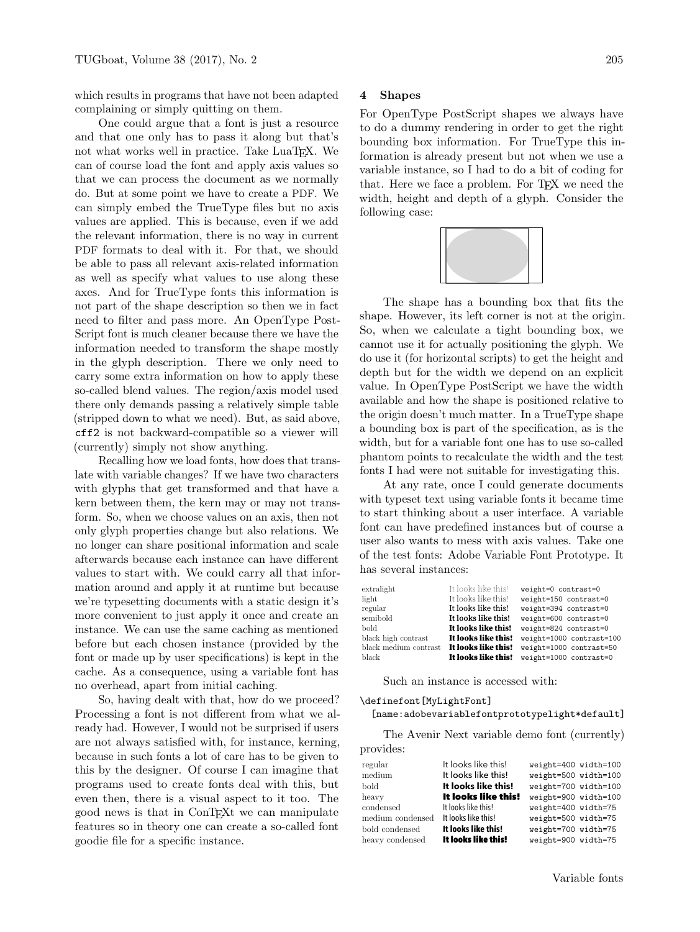which results in programs that have not been adapted complaining or simply quitting on them.

One could argue that a font is just a resource and that one only has to pass it along but that's not what works well in practice. Take LuaT<sub>EX</sub>. We can of course load the font and apply axis values so that we can process the document as we normally do. But at some point we have to create a PDF. We can simply embed the TrueType files but no axis values are applied. This is because, even if we add the relevant information, there is no way in current PDF formats to deal with it. For that, we should be able to pass all relevant axis-related information as well as specify what values to use along these axes. And for TrueType fonts this information is not part of the shape description so then we in fact need to filter and pass more. An OpenType Post-Script font is much cleaner because there we have the information needed to transform the shape mostly in the glyph description. There we only need to carry some extra information on how to apply these so-called blend values. The region/axis model used there only demands passing a relatively simple table (stripped down to what we need). But, as said above, cff2 is not backward-compatible so a viewer will (currently) simply not show anything.

Recalling how we load fonts, how does that translate with variable changes? If we have two characters with glyphs that get transformed and that have a kern between them, the kern may or may not transform. So, when we choose values on an axis, then not only glyph properties change but also relations. We no longer can share positional information and scale afterwards because each instance can have different values to start with. We could carry all that information around and apply it at runtime but because we're typesetting documents with a static design it's more convenient to just apply it once and create an instance. We can use the same caching as mentioned before but each chosen instance (provided by the font or made up by user specifications) is kept in the cache. As a consequence, using a variable font has no overhead, apart from initial caching.

So, having dealt with that, how do we proceed? Processing a font is not different from what we already had. However, I would not be surprised if users are not always satisfied with, for instance, kerning, because in such fonts a lot of care has to be given to this by the designer. Of course I can imagine that programs used to create fonts deal with this, but even then, there is a visual aspect to it too. The good news is that in ConTEXt we can manipulate features so in theory one can create a so-called font goodie file for a specific instance.

### 4 Shapes

For OpenType PostScript shapes we always have to do a dummy rendering in order to get the right bounding box information. For TrueType this information is already present but not when we use a variable instance, so I had to do a bit of coding for that. Here we face a problem. For TEX we need the width, height and depth of a glyph. Consider the following case:



The shape has a bounding box that fits the shape. However, its left corner is not at the origin. So, when we calculate a tight bounding box, we cannot use it for actually positioning the glyph. We do use it (for horizontal scripts) to get the height and depth but for the width we depend on an explicit value. In OpenType PostScript we have the width available and how the shape is positioned relative to the origin doesn't much matter. In a TrueType shape a bounding box is part of the specification, as is the width, but for a variable font one has to use so-called phantom points to recalculate the width and the test fonts I had were not suitable for investigating this.

At any rate, once I could generate documents with typeset text using variable fonts it became time to start thinking about a user interface. A variable font can have predefined instances but of course a user also wants to mess with axis values. Take one of the test fonts: Adobe Variable Font Prototype. It has several instances:

| extralight            | It looks like this! | weight=0 contrast=0      |  |  |
|-----------------------|---------------------|--------------------------|--|--|
| light                 | It looks like this! | weight=150 contrast=0    |  |  |
| regular               | It looks like this! | weight=394 contrast=0    |  |  |
| semibold              | It looks like this! | weight=600 contrast=0    |  |  |
| bold                  | It looks like this! | weight=824 contrast=0    |  |  |
| black high contrast   | It looks like this! | weight=1000 contrast=100 |  |  |
| black medium contrast | It looks like this! | weight=1000 contrast=50  |  |  |
| black                 | It looks like this! | weight=1000 contrast=0   |  |  |

Such an instance is accessed with:

### \definefont[MyLightFont]

[name:adobevariablefontprototypelight\*default]

The Avenir Next variable demo font (currently) provides:

| regular<br>medium<br>bold | It looks like this!<br>It looks like this!<br>It looks like this! | weight=400 width=100<br>weight=500 width=100<br>weight=700 width=100 |  |
|---------------------------|-------------------------------------------------------------------|----------------------------------------------------------------------|--|
| heavy                     | It looks like this!                                               | weight=900 width=100                                                 |  |
| condensed                 | It looks like this!                                               | weight=400 width=75                                                  |  |
| medium condensed          | It looks like this!                                               | weight=500 width=75                                                  |  |
| bold condensed            | It looks like this!                                               | weight=700 width=75                                                  |  |
| heavy condensed           | It looks like this!                                               | weight=900 width=75                                                  |  |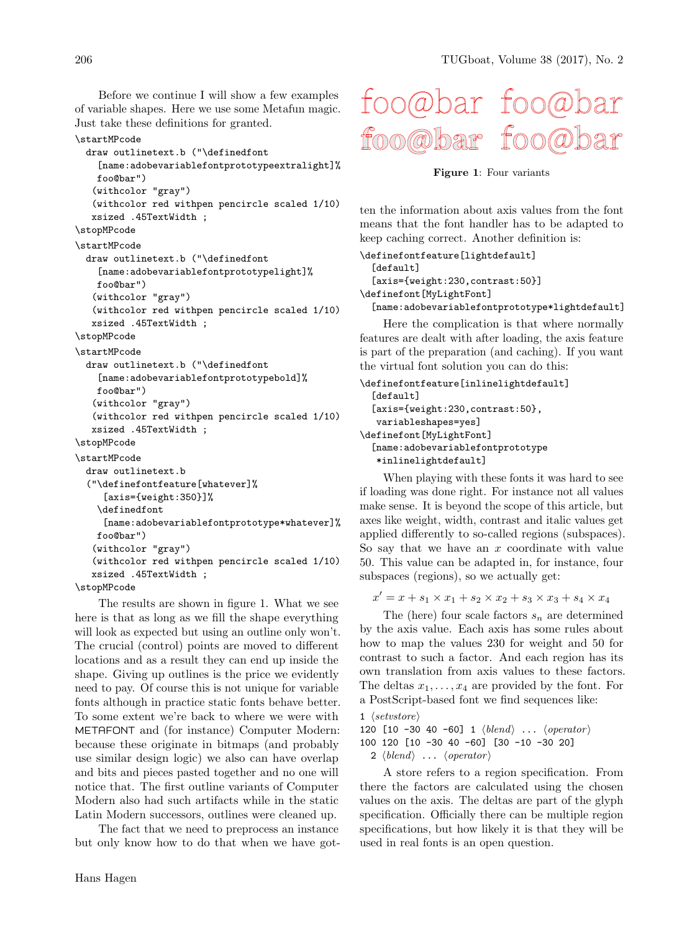Before we continue I will show a few examples of variable shapes. Here we use some Metafun magic. Just take these definitions for granted.

#### \startMPcode

draw outlinetext.b ("\definedfont [name:adobevariablefontprototypeextralight]% foo@bar") (withcolor "gray") (withcolor red withpen pencircle scaled 1/10) xsized .45TextWidth ; \stopMPcode \startMPcode draw outlinetext.b ("\definedfont

```
[name:adobevariablefontprototypelight]%
foo@bar")
(withcolor "gray")
(withcolor red withpen pencircle scaled 1/10)
```

```
xsized .45TextWidth ;
```
\stopMPcode

\startMPcode

```
draw outlinetext.b ("\definedfont
  [name:adobevariablefontprototypebold]%
 foo@bar")
 (withcolor "gray")
```

```
(withcolor red withpen pencircle scaled 1/10)
xsized .45TextWidth ;
```

```
\stopMPcode
```

```
\startMPcode
```

```
draw outlinetext.b
("\definefontfeature[whatever]%
   [axis={weight:350}]%
  \definedfont
   [name:adobevariablefontprototype*whatever]%
 foo@bar")
 (withcolor "gray")
 (withcolor red withpen pencircle scaled 1/10)
xsized .45TextWidth ;
```

```
\stopMPcode
```
The results are shown in figure 1. What we see here is that as long as we fill the shape everything will look as expected but using an outline only won't. The crucial (control) points are moved to different locations and as a result they can end up inside the shape. Giving up outlines is the price we evidently need to pay. Of course this is not unique for variable fonts although in practice static fonts behave better. To some extent we're back to where we were with METAFONT and (for instance) Computer Modern: because these originate in bitmaps (and probably use similar design logic) we also can have overlap and bits and pieces pasted together and no one will notice that. The first outline variants of Computer Modern also had such artifacts while in the static Latin Modern successors, outlines were cleaned up.

The fact that we need to preprocess an instance but only know how to do that when we have got-



Figure 1: Four variants

ten the information about axis values from the font means that the font handler has to be adapted to keep caching correct. Another definition is:

```
\definefontfeature[lightdefault]
  [default]
  [axis={weight:230,contrast:50}]
\definefont[MyLightFont]
```
[name:adobevariablefontprototype\*lightdefault]

Here the complication is that where normally features are dealt with after loading, the axis feature is part of the preparation (and caching). If you want the virtual font solution you can do this:

```
\definefontfeature[inlinelightdefault]
  [default]
  [axis={weight:230,contrast:50},
   variableshapes=yes]
\definefont[MyLightFont]
  [name:adobevariablefontprototype
   *inlinelightdefault]
```
When playing with these fonts it was hard to see if loading was done right. For instance not all values make sense. It is beyond the scope of this article, but axes like weight, width, contrast and italic values get applied differently to so-called regions (subspaces). So say that we have an  $x$  coordinate with value 50. This value can be adapted in, for instance, four subspaces (regions), so we actually get:

 $x' = x + s_1 \times x_1 + s_2 \times x_2 + s_3 \times x_3 + s_4 \times x_4$ 

The (here) four scale factors  $s_n$  are determined by the axis value. Each axis has some rules about how to map the values 230 for weight and 50 for contrast to such a factor. And each region has its own translation from axis values to these factors. The deltas  $x_1, \ldots, x_4$  are provided by the font. For a PostScript-based font we find sequences like:

```
1 \langle setvstore \rangle
```

```
120 [10 -30 40 -60] 1 \langle blend \rangle ... \langle operator \rangle100 120 [10 -30 40 -60] [30 -10 -30 20]
```
2  $\langle blend \rangle$  ...  $\langle operator \rangle$ 

A store refers to a region specification. From there the factors are calculated using the chosen values on the axis. The deltas are part of the glyph specification. Officially there can be multiple region specifications, but how likely it is that they will be used in real fonts is an open question.